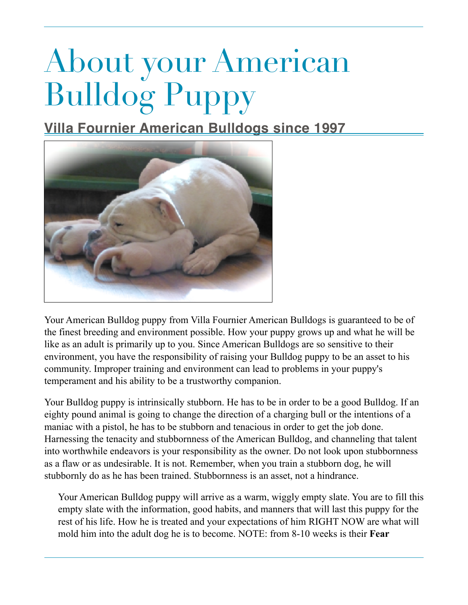## About your American Bulldog Puppy

**Villa Fournier American Bulldogs since 1997**



Your American Bulldog puppy from Villa Fournier American Bulldogs is guaranteed to be of the finest breeding and environment possible. How your puppy grows up and what he will be like as an adult is primarily up to you. Since American Bulldogs are so sensitive to their environment, you have the responsibility of raising your Bulldog puppy to be an asset to his community. Improper training and environment can lead to problems in your puppy's temperament and his ability to be a trustworthy companion.

Your Bulldog puppy is intrinsically stubborn. He has to be in order to be a good Bulldog. If an eighty pound animal is going to change the direction of a charging bull or the intentions of a maniac with a pistol, he has to be stubborn and tenacious in order to get the job done. Harnessing the tenacity and stubbornness of the American Bulldog, and channeling that talent into worthwhile endeavors is your responsibility as the owner. Do not look upon stubbornness as a flaw or as undesirable. It is not. Remember, when you train a stubborn dog, he will stubbornly do as he has been trained. Stubbornness is an asset, not a hindrance.

Your American Bulldog puppy will arrive as a warm, wiggly empty slate. You are to fill this empty slate with the information, good habits, and manners that will last this puppy for the rest of his life. How he is treated and your expectations of him RIGHT NOW are what will mold him into the adult dog he is to become. NOTE: from 8-10 weeks is their **Fear**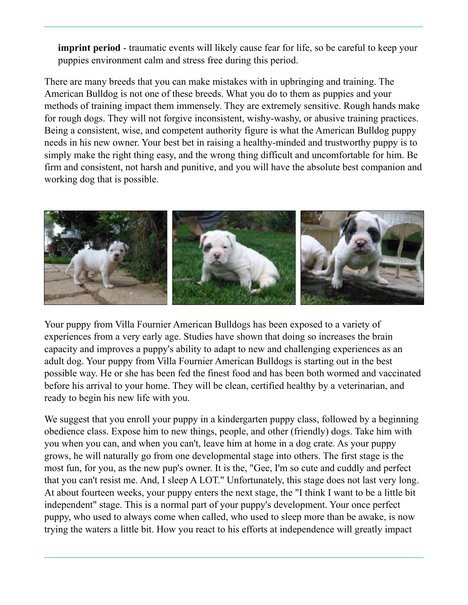**imprint period** - traumatic events will likely cause fear for life, so be careful to keep your puppies environment calm and stress free during this period.

There are many breeds that you can make mistakes with in upbringing and training. The American Bulldog is not one of these breeds. What you do to them as puppies and your methods of training impact them immensely. They are extremely sensitive. Rough hands make for rough dogs. They will not forgive inconsistent, wishy-washy, or abusive training practices. Being a consistent, wise, and competent authority figure is what the American Bulldog puppy needs in his new owner. Your best bet in raising a healthy-minded and trustworthy puppy is to simply make the right thing easy, and the wrong thing difficult and uncomfortable for him. Be firm and consistent, not harsh and punitive, and you will have the absolute best companion and working dog that is possible.



Your puppy from Villa Fournier American Bulldogs has been exposed to a variety of experiences from a very early age. Studies have shown that doing so increases the brain capacity and improves a puppy's ability to adapt to new and challenging experiences as an adult dog. Your puppy from Villa Fournier American Bulldogs is starting out in the best possible way. He or she has been fed the finest food and has been both wormed and vaccinated before his arrival to your home. They will be clean, certified healthy by a veterinarian, and ready to begin his new life with you.

We suggest that you enroll your puppy in a kindergarten puppy class, followed by a beginning obedience class. Expose him to new things, people, and other (friendly) dogs. Take him with you when you can, and when you can't, leave him at home in a dog crate. As your puppy grows, he will naturally go from one developmental stage into others. The first stage is the most fun, for you, as the new pup's owner. It is the, "Gee, I'm so cute and cuddly and perfect that you can't resist me. And, I sleep A LOT." Unfortunately, this stage does not last very long. At about fourteen weeks, your puppy enters the next stage, the "I think I want to be a little bit independent" stage. This is a normal part of your puppy's development. Your once perfect puppy, who used to always come when called, who used to sleep more than be awake, is now trying the waters a little bit. How you react to his efforts at independence will greatly impact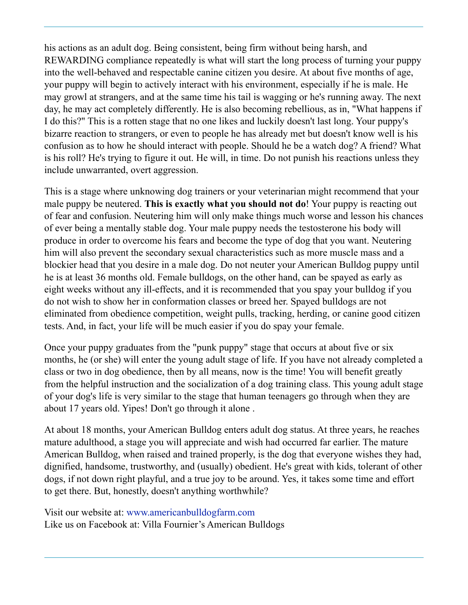his actions as an adult dog. Being consistent, being firm without being harsh, and REWARDING compliance repeatedly is what will start the long process of turning your puppy into the well-behaved and respectable canine citizen you desire. At about five months of age, your puppy will begin to actively interact with his environment, especially if he is male. He may growl at strangers, and at the same time his tail is wagging or he's running away. The next day, he may act completely differently. He is also becoming rebellious, as in, "What happens if I do this?" This is a rotten stage that no one likes and luckily doesn't last long. Your puppy's bizarre reaction to strangers, or even to people he has already met but doesn't know well is his confusion as to how he should interact with people. Should he be a watch dog? A friend? What is his roll? He's trying to figure it out. He will, in time. Do not punish his reactions unless they include unwarranted, overt aggression.

This is a stage where unknowing dog trainers or your veterinarian might recommend that your male puppy be neutered. **This is exactly what you should not do**! Your puppy is reacting out of fear and confusion. Neutering him will only make things much worse and lesson his chances of ever being a mentally stable dog. Your male puppy needs the testosterone his body will produce in order to overcome his fears and become the type of dog that you want. Neutering him will also prevent the secondary sexual characteristics such as more muscle mass and a blockier head that you desire in a male dog. Do not neuter your American Bulldog puppy until he is at least 36 months old. Female bulldogs, on the other hand, can be spayed as early as eight weeks without any ill-effects, and it is recommended that you spay your bulldog if you do not wish to show her in conformation classes or breed her. Spayed bulldogs are not eliminated from obedience competition, weight pulls, tracking, herding, or canine good citizen tests. And, in fact, your life will be much easier if you do spay your female.

Once your puppy graduates from the "punk puppy" stage that occurs at about five or six months, he (or she) will enter the young adult stage of life. If you have not already completed a class or two in dog obedience, then by all means, now is the time! You will benefit greatly from the helpful instruction and the socialization of a dog training class. This young adult stage of your dog's life is very similar to the stage that human teenagers go through when they are about 17 years old. Yipes! Don't go through it alone .

At about 18 months, your American Bulldog enters adult dog status. At three years, he reaches mature adulthood, a stage you will appreciate and wish had occurred far earlier. The mature American Bulldog, when raised and trained properly, is the dog that everyone wishes they had, dignified, handsome, trustworthy, and (usually) obedient. He's great with kids, tolerant of other dogs, if not down right playful, and a true joy to be around. Yes, it takes some time and effort to get there. But, honestly, doesn't anything worthwhile?

Visit our website at: www.americanbulldogfarm.com Like us on Facebook at: Villa Fournier's American Bulldogs